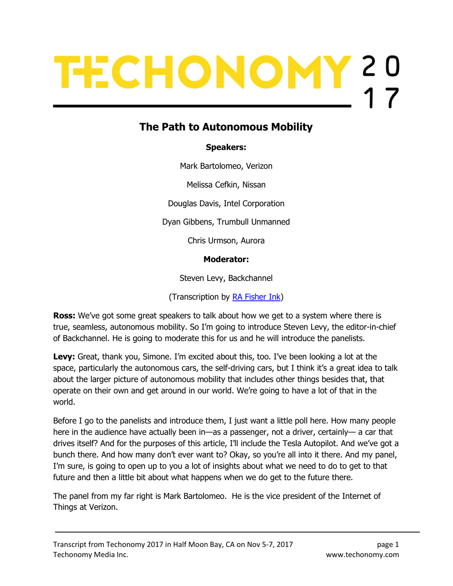# TECHONOMY 20

# The Path to Autonomous Mobility

# Speakers:

Mark Bartolomeo, Verizon

Melissa Cefkin, Nissan

Douglas Davis, Intel Corporation

Dyan Gibbens, Trumbull Unmanned

Chris Urmson, Aurora

### Moderator:

Steven Levy, Backchannel

(Transcription by RA Fisher Ink)

**Ross:** We've got some great speakers to talk about how we get to a system where there is true, seamless, autonomous mobility. So I'm going to introduce Steven Levy, the editor-in-chief of Backchannel. He is going to moderate this for us and he will introduce the panelists.

Levy: Great, thank you, Simone. I'm excited about this, too. I've been looking a lot at the space, particularly the autonomous cars, the self-driving cars, but I think it's a great idea to talk about the larger picture of autonomous mobility that includes other things besides that, that operate on their own and get around in our world. We're going to have a lot of that in the world.

Before I go to the panelists and introduce them, I just want a little poll here. How many people here in the audience have actually been in—as a passenger, not a driver, certainly— a car that drives itself? And for the purposes of this article, I'll include the Tesla Autopilot. And we've got a bunch there. And how many don't ever want to? Okay, so you're all into it there. And my panel, I'm sure, is going to open up to you a lot of insights about what we need to do to get to that future and then a little bit about what happens when we do get to the future there.

The panel from my far right is Mark Bartolomeo. He is the vice president of the Internet of Things at Verizon.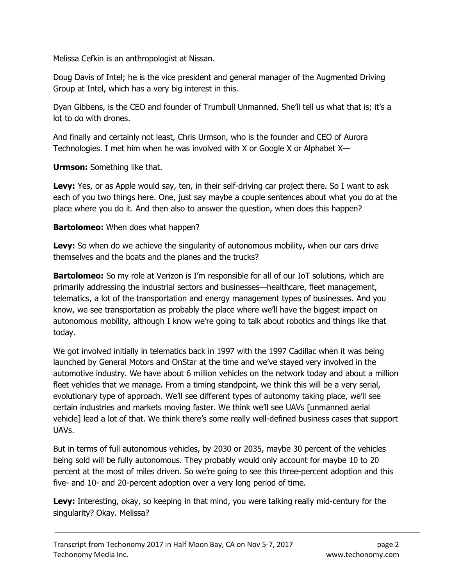Melissa Cefkin is an anthropologist at Nissan.

Doug Davis of Intel; he is the vice president and general manager of the Augmented Driving Group at Intel, which has a very big interest in this.

Dyan Gibbens, is the CEO and founder of Trumbull Unmanned. She'll tell us what that is; it's a lot to do with drones.

And finally and certainly not least, Chris Urmson, who is the founder and CEO of Aurora Technologies. I met him when he was involved with X or Google X or Alphabet X—

Urmson: Something like that.

Levy: Yes, or as Apple would say, ten, in their self-driving car project there. So I want to ask each of you two things here. One, just say maybe a couple sentences about what you do at the place where you do it. And then also to answer the question, when does this happen?

# **Bartolomeo:** When does what happen?

**Levy:** So when do we achieve the singularity of autonomous mobility, when our cars drive themselves and the boats and the planes and the trucks?

**Bartolomeo:** So my role at Verizon is I'm responsible for all of our IoT solutions, which are primarily addressing the industrial sectors and businesses—healthcare, fleet management, telematics, a lot of the transportation and energy management types of businesses. And you know, we see transportation as probably the place where we'll have the biggest impact on autonomous mobility, although I know we're going to talk about robotics and things like that today.

We got involved initially in telematics back in 1997 with the 1997 Cadillac when it was being launched by General Motors and OnStar at the time and we've stayed very involved in the automotive industry. We have about 6 million vehicles on the network today and about a million fleet vehicles that we manage. From a timing standpoint, we think this will be a very serial, evolutionary type of approach. We'll see different types of autonomy taking place, we'll see certain industries and markets moving faster. We think we'll see UAVs [unmanned aerial vehicle] lead a lot of that. We think there's some really well-defined business cases that support UAVs.

But in terms of full autonomous vehicles, by 2030 or 2035, maybe 30 percent of the vehicles being sold will be fully autonomous. They probably would only account for maybe 10 to 20 percent at the most of miles driven. So we're going to see this three-percent adoption and this five- and 10- and 20-percent adoption over a very long period of time.

**Levy:** Interesting, okay, so keeping in that mind, you were talking really mid-century for the singularity? Okay. Melissa?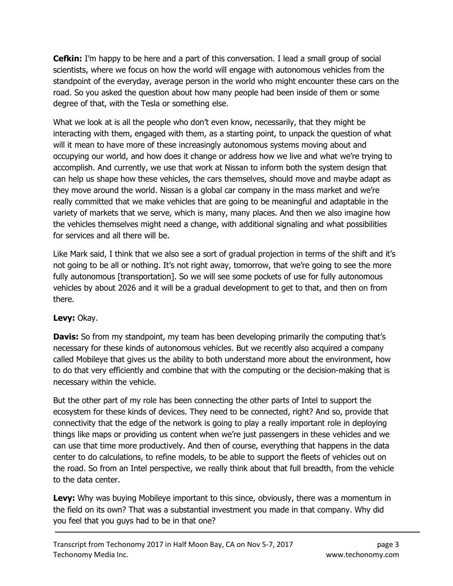**Cefkin:** I'm happy to be here and a part of this conversation. I lead a small group of social scientists, where we focus on how the world will engage with autonomous vehicles from the standpoint of the everyday, average person in the world who might encounter these cars on the road. So you asked the question about how many people had been inside of them or some degree of that, with the Tesla or something else.

What we look at is all the people who don't even know, necessarily, that they might be interacting with them, engaged with them, as a starting point, to unpack the question of what will it mean to have more of these increasingly autonomous systems moving about and occupying our world, and how does it change or address how we live and what we're trying to accomplish. And currently, we use that work at Nissan to inform both the system design that can help us shape how these vehicles, the cars themselves, should move and maybe adapt as they move around the world. Nissan is a global car company in the mass market and we're really committed that we make vehicles that are going to be meaningful and adaptable in the variety of markets that we serve, which is many, many places. And then we also imagine how the vehicles themselves might need a change, with additional signaling and what possibilities for services and all there will be.

Like Mark said, I think that we also see a sort of gradual projection in terms of the shift and it's not going to be all or nothing. It's not right away, tomorrow, that we're going to see the more fully autonomous [transportation]. So we will see some pockets of use for fully autonomous vehicles by about 2026 and it will be a gradual development to get to that, and then on from there.

# Levy: Okay.

**Davis:** So from my standpoint, my team has been developing primarily the computing that's necessary for these kinds of autonomous vehicles. But we recently also acquired a company called Mobileye that gives us the ability to both understand more about the environment, how to do that very efficiently and combine that with the computing or the decision-making that is necessary within the vehicle.

But the other part of my role has been connecting the other parts of Intel to support the ecosystem for these kinds of devices. They need to be connected, right? And so, provide that connectivity that the edge of the network is going to play a really important role in deploying things like maps or providing us content when we're just passengers in these vehicles and we can use that time more productively. And then of course, everything that happens in the data center to do calculations, to refine models, to be able to support the fleets of vehicles out on the road. So from an Intel perspective, we really think about that full breadth, from the vehicle to the data center.

Levy: Why was buying Mobileye important to this since, obviously, there was a momentum in the field on its own? That was a substantial investment you made in that company. Why did you feel that you guys had to be in that one?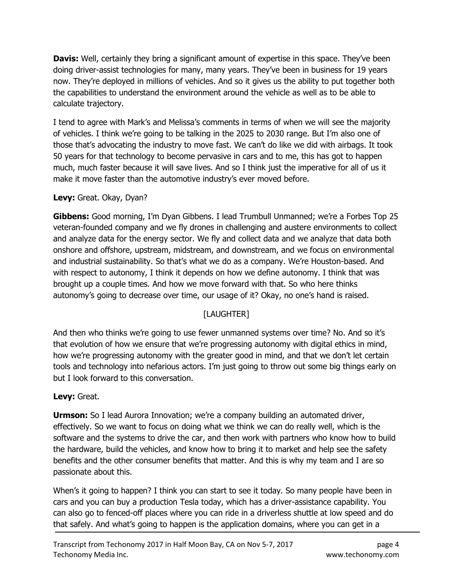**Davis:** Well, certainly they bring a significant amount of expertise in this space. They've been doing driver-assist technologies for many, many years. They've been in business for 19 years now. They're deployed in millions of vehicles. And so it gives us the ability to put together both the capabilities to understand the environment around the vehicle as well as to be able to calculate trajectory.

I tend to agree with Mark's and Melissa's comments in terms of when we will see the majority of vehicles. I think we're going to be talking in the 2025 to 2030 range. But I'm also one of those that's advocating the industry to move fast. We can't do like we did with airbags. It took 50 years for that technology to become pervasive in cars and to me, this has got to happen much, much faster because it will save lives. And so I think just the imperative for all of us it make it move faster than the automotive industry's ever moved before.

# Levy: Great. Okay, Dyan?

Gibbens: Good morning, I'm Dyan Gibbens. I lead Trumbull Unmanned; we're a Forbes Top 25 veteran-founded company and we fly drones in challenging and austere environments to collect and analyze data for the energy sector. We fly and collect data and we analyze that data both onshore and offshore, upstream, midstream, and downstream, and we focus on environmental and industrial sustainability. So that's what we do as a company. We're Houston-based. And with respect to autonomy, I think it depends on how we define autonomy. I think that was brought up a couple times. And how we move forward with that. So who here thinks autonomy's going to decrease over time, our usage of it? Okay, no one's hand is raised.

# [LAUGHTER]

And then who thinks we're going to use fewer unmanned systems over time? No. And so it's that evolution of how we ensure that we're progressing autonomy with digital ethics in mind, how we're progressing autonomy with the greater good in mind, and that we don't let certain tools and technology into nefarious actors. I'm just going to throw out some big things early on but I look forward to this conversation.

### Levy: Great.

**Urmson:** So I lead Aurora Innovation; we're a company building an automated driver, effectively. So we want to focus on doing what we think we can do really well, which is the software and the systems to drive the car, and then work with partners who know how to build the hardware, build the vehicles, and know how to bring it to market and help see the safety benefits and the other consumer benefits that matter. And this is why my team and I are so passionate about this.

When's it going to happen? I think you can start to see it today. So many people have been in cars and you can buy a production Tesla today, which has a driver-assistance capability. You can also go to fenced-off places where you can ride in a driverless shuttle at low speed and do that safely. And what's going to happen is the application domains, where you can get in a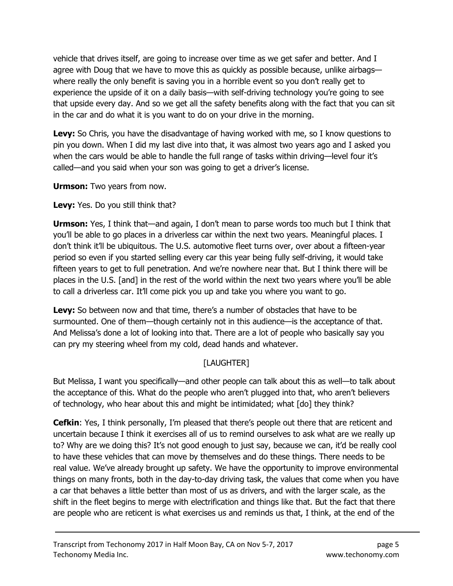vehicle that drives itself, are going to increase over time as we get safer and better. And I agree with Doug that we have to move this as quickly as possible because, unlike airbags where really the only benefit is saving you in a horrible event so you don't really get to experience the upside of it on a daily basis—with self-driving technology you're going to see that upside every day. And so we get all the safety benefits along with the fact that you can sit in the car and do what it is you want to do on your drive in the morning.

Levy: So Chris, you have the disadvantage of having worked with me, so I know questions to pin you down. When I did my last dive into that, it was almost two years ago and I asked you when the cars would be able to handle the full range of tasks within driving—level four it's called—and you said when your son was going to get a driver's license.

**Urmson:** Two years from now.

Levy: Yes. Do you still think that?

Urmson: Yes, I think that—and again, I don't mean to parse words too much but I think that you'll be able to go places in a driverless car within the next two years. Meaningful places. I don't think it'll be ubiquitous. The U.S. automotive fleet turns over, over about a fifteen-year period so even if you started selling every car this year being fully self-driving, it would take fifteen years to get to full penetration. And we're nowhere near that. But I think there will be places in the U.S. [and] in the rest of the world within the next two years where you'll be able to call a driverless car. It'll come pick you up and take you where you want to go.

**Levy:** So between now and that time, there's a number of obstacles that have to be surmounted. One of them—though certainly not in this audience—is the acceptance of that. And Melissa's done a lot of looking into that. There are a lot of people who basically say you can pry my steering wheel from my cold, dead hands and whatever.

# [LAUGHTER]

But Melissa, I want you specifically—and other people can talk about this as well—to talk about the acceptance of this. What do the people who aren't plugged into that, who aren't believers of technology, who hear about this and might be intimidated; what [do] they think?

**Cefkin:** Yes, I think personally, I'm pleased that there's people out there that are reticent and uncertain because I think it exercises all of us to remind ourselves to ask what are we really up to? Why are we doing this? It's not good enough to just say, because we can, it'd be really cool to have these vehicles that can move by themselves and do these things. There needs to be real value. We've already brought up safety. We have the opportunity to improve environmental things on many fronts, both in the day-to-day driving task, the values that come when you have a car that behaves a little better than most of us as drivers, and with the larger scale, as the shift in the fleet begins to merge with electrification and things like that. But the fact that there are people who are reticent is what exercises us and reminds us that, I think, at the end of the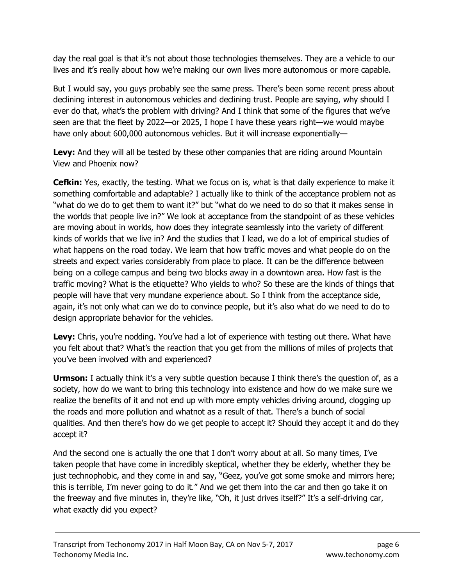day the real goal is that it's not about those technologies themselves. They are a vehicle to our lives and it's really about how we're making our own lives more autonomous or more capable.

But I would say, you guys probably see the same press. There's been some recent press about declining interest in autonomous vehicles and declining trust. People are saying, why should I ever do that, what's the problem with driving? And I think that some of the figures that we've seen are that the fleet by 2022—or 2025, I hope I have these years right—we would maybe have only about 600,000 autonomous vehicles. But it will increase exponentially—

**Levy:** And they will all be tested by these other companies that are riding around Mountain View and Phoenix now?

**Cefkin:** Yes, exactly, the testing. What we focus on is, what is that daily experience to make it something comfortable and adaptable? I actually like to think of the acceptance problem not as "what do we do to get them to want it?" but "what do we need to do so that it makes sense in the worlds that people live in?" We look at acceptance from the standpoint of as these vehicles are moving about in worlds, how does they integrate seamlessly into the variety of different kinds of worlds that we live in? And the studies that I lead, we do a lot of empirical studies of what happens on the road today. We learn that how traffic moves and what people do on the streets and expect varies considerably from place to place. It can be the difference between being on a college campus and being two blocks away in a downtown area. How fast is the traffic moving? What is the etiquette? Who yields to who? So these are the kinds of things that people will have that very mundane experience about. So I think from the acceptance side, again, it's not only what can we do to convince people, but it's also what do we need to do to design appropriate behavior for the vehicles.

Levy: Chris, you're nodding. You've had a lot of experience with testing out there. What have you felt about that? What's the reaction that you get from the millions of miles of projects that you've been involved with and experienced?

**Urmson:** I actually think it's a very subtle question because I think there's the question of, as a society, how do we want to bring this technology into existence and how do we make sure we realize the benefits of it and not end up with more empty vehicles driving around, clogging up the roads and more pollution and whatnot as a result of that. There's a bunch of social qualities. And then there's how do we get people to accept it? Should they accept it and do they accept it?

And the second one is actually the one that I don't worry about at all. So many times, I've taken people that have come in incredibly skeptical, whether they be elderly, whether they be just technophobic, and they come in and say, "Geez, you've got some smoke and mirrors here; this is terrible, I'm never going to do it." And we get them into the car and then go take it on the freeway and five minutes in, they're like, "Oh, it just drives itself?" It's a self-driving car, what exactly did you expect?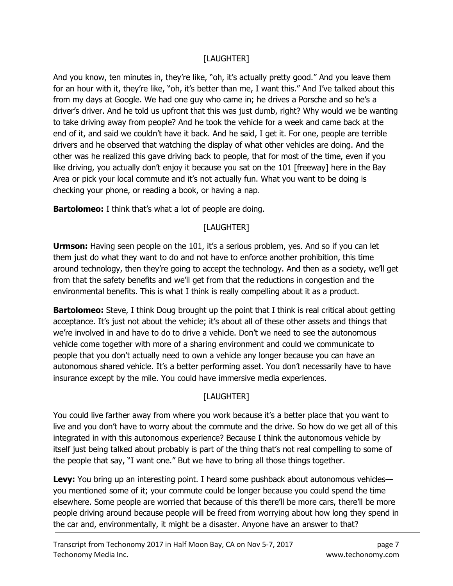# [LAUGHTER]

And you know, ten minutes in, they're like, "oh, it's actually pretty good." And you leave them for an hour with it, they're like, "oh, it's better than me, I want this." And I've talked about this from my days at Google. We had one guy who came in; he drives a Porsche and so he's a driver's driver. And he told us upfront that this was just dumb, right? Why would we be wanting to take driving away from people? And he took the vehicle for a week and came back at the end of it, and said we couldn't have it back. And he said, I get it. For one, people are terrible drivers and he observed that watching the display of what other vehicles are doing. And the other was he realized this gave driving back to people, that for most of the time, even if you like driving, you actually don't enjoy it because you sat on the 101 [freeway] here in the Bay Area or pick your local commute and it's not actually fun. What you want to be doing is checking your phone, or reading a book, or having a nap.

**Bartolomeo:** I think that's what a lot of people are doing.

# [LAUGHTER]

**Urmson:** Having seen people on the 101, it's a serious problem, yes. And so if you can let them just do what they want to do and not have to enforce another prohibition, this time around technology, then they're going to accept the technology. And then as a society, we'll get from that the safety benefits and we'll get from that the reductions in congestion and the environmental benefits. This is what I think is really compelling about it as a product.

**Bartolomeo:** Steve, I think Doug brought up the point that I think is real critical about getting acceptance. It's just not about the vehicle; it's about all of these other assets and things that we're involved in and have to do to drive a vehicle. Don't we need to see the autonomous vehicle come together with more of a sharing environment and could we communicate to people that you don't actually need to own a vehicle any longer because you can have an autonomous shared vehicle. It's a better performing asset. You don't necessarily have to have insurance except by the mile. You could have immersive media experiences.

# [LAUGHTER]

You could live farther away from where you work because it's a better place that you want to live and you don't have to worry about the commute and the drive. So how do we get all of this integrated in with this autonomous experience? Because I think the autonomous vehicle by itself just being talked about probably is part of the thing that's not real compelling to some of the people that say, "I want one." But we have to bring all those things together.

Levy: You bring up an interesting point. I heard some pushback about autonomous vehiclesyou mentioned some of it; your commute could be longer because you could spend the time elsewhere. Some people are worried that because of this there'll be more cars, there'll be more people driving around because people will be freed from worrying about how long they spend in the car and, environmentally, it might be a disaster. Anyone have an answer to that?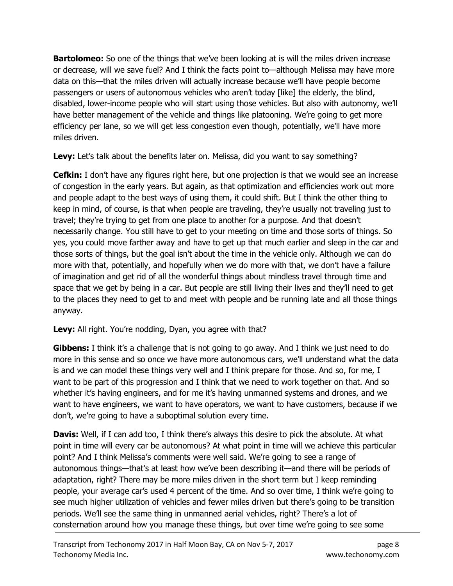**Bartolomeo:** So one of the things that we've been looking at is will the miles driven increase or decrease, will we save fuel? And I think the facts point to—although Melissa may have more data on this—that the miles driven will actually increase because we'll have people become passengers or users of autonomous vehicles who aren't today [like] the elderly, the blind, disabled, lower-income people who will start using those vehicles. But also with autonomy, we'll have better management of the vehicle and things like platooning. We're going to get more efficiency per lane, so we will get less congestion even though, potentially, we'll have more miles driven.

Levy: Let's talk about the benefits later on. Melissa, did you want to say something?

**Cefkin:** I don't have any figures right here, but one projection is that we would see an increase of congestion in the early years. But again, as that optimization and efficiencies work out more and people adapt to the best ways of using them, it could shift. But I think the other thing to keep in mind, of course, is that when people are traveling, they're usually not traveling just to travel; they're trying to get from one place to another for a purpose. And that doesn't necessarily change. You still have to get to your meeting on time and those sorts of things. So yes, you could move farther away and have to get up that much earlier and sleep in the car and those sorts of things, but the goal isn't about the time in the vehicle only. Although we can do more with that, potentially, and hopefully when we do more with that, we don't have a failure of imagination and get rid of all the wonderful things about mindless travel through time and space that we get by being in a car. But people are still living their lives and they'll need to get to the places they need to get to and meet with people and be running late and all those things anyway.

### Levy: All right. You're nodding, Dyan, you agree with that?

**Gibbens:** I think it's a challenge that is not going to go away. And I think we just need to do more in this sense and so once we have more autonomous cars, we'll understand what the data is and we can model these things very well and I think prepare for those. And so, for me, I want to be part of this progression and I think that we need to work together on that. And so whether it's having engineers, and for me it's having unmanned systems and drones, and we want to have engineers, we want to have operators, we want to have customers, because if we don't, we're going to have a suboptimal solution every time.

**Davis:** Well, if I can add too, I think there's always this desire to pick the absolute. At what point in time will every car be autonomous? At what point in time will we achieve this particular point? And I think Melissa's comments were well said. We're going to see a range of autonomous things—that's at least how we've been describing it—and there will be periods of adaptation, right? There may be more miles driven in the short term but I keep reminding people, your average car's used 4 percent of the time. And so over time, I think we're going to see much higher utilization of vehicles and fewer miles driven but there's going to be transition periods. We'll see the same thing in unmanned aerial vehicles, right? There's a lot of consternation around how you manage these things, but over time we're going to see some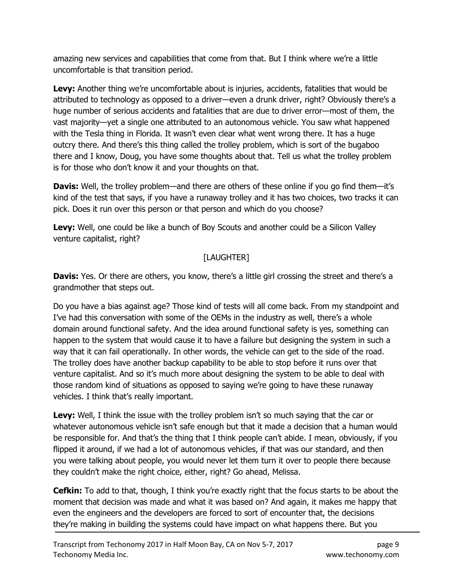amazing new services and capabilities that come from that. But I think where we're a little uncomfortable is that transition period.

**Levy:** Another thing we're uncomfortable about is injuries, accidents, fatalities that would be attributed to technology as opposed to a driver—even a drunk driver, right? Obviously there's a huge number of serious accidents and fatalities that are due to driver error—most of them, the vast majority—yet a single one attributed to an autonomous vehicle. You saw what happened with the Tesla thing in Florida. It wasn't even clear what went wrong there. It has a huge outcry there. And there's this thing called the trolley problem, which is sort of the bugaboo there and I know, Doug, you have some thoughts about that. Tell us what the trolley problem is for those who don't know it and your thoughts on that.

**Davis:** Well, the trolley problem—and there are others of these online if you go find them—it's kind of the test that says, if you have a runaway trolley and it has two choices, two tracks it can pick. Does it run over this person or that person and which do you choose?

Levy: Well, one could be like a bunch of Boy Scouts and another could be a Silicon Valley venture capitalist, right?

# [LAUGHTER]

Davis: Yes. Or there are others, you know, there's a little girl crossing the street and there's a grandmother that steps out.

Do you have a bias against age? Those kind of tests will all come back. From my standpoint and I've had this conversation with some of the OEMs in the industry as well, there's a whole domain around functional safety. And the idea around functional safety is yes, something can happen to the system that would cause it to have a failure but designing the system in such a way that it can fail operationally. In other words, the vehicle can get to the side of the road. The trolley does have another backup capability to be able to stop before it runs over that venture capitalist. And so it's much more about designing the system to be able to deal with those random kind of situations as opposed to saying we're going to have these runaway vehicles. I think that's really important.

Levy: Well, I think the issue with the trolley problem isn't so much saying that the car or whatever autonomous vehicle isn't safe enough but that it made a decision that a human would be responsible for. And that's the thing that I think people can't abide. I mean, obviously, if you flipped it around, if we had a lot of autonomous vehicles, if that was our standard, and then you were talking about people, you would never let them turn it over to people there because they couldn't make the right choice, either, right? Go ahead, Melissa.

**Cefkin:** To add to that, though, I think you're exactly right that the focus starts to be about the moment that decision was made and what it was based on? And again, it makes me happy that even the engineers and the developers are forced to sort of encounter that, the decisions they're making in building the systems could have impact on what happens there. But you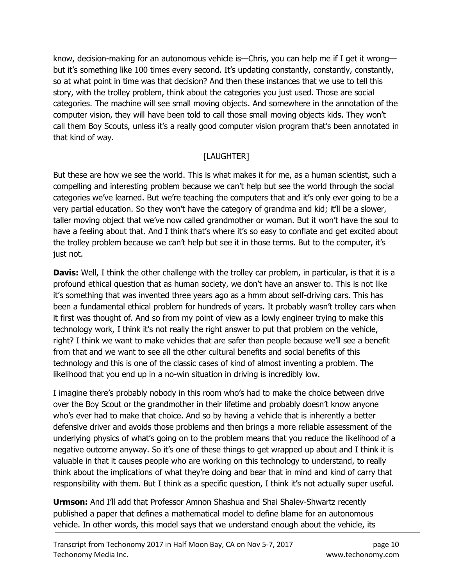know, decision-making for an autonomous vehicle is—Chris, you can help me if I get it wrong but it's something like 100 times every second. It's updating constantly, constantly, constantly, so at what point in time was that decision? And then these instances that we use to tell this story, with the trolley problem, think about the categories you just used. Those are social categories. The machine will see small moving objects. And somewhere in the annotation of the computer vision, they will have been told to call those small moving objects kids. They won't call them Boy Scouts, unless it's a really good computer vision program that's been annotated in that kind of way.

# [LAUGHTER]

But these are how we see the world. This is what makes it for me, as a human scientist, such a compelling and interesting problem because we can't help but see the world through the social categories we've learned. But we're teaching the computers that and it's only ever going to be a very partial education. So they won't have the category of grandma and kid; it'll be a slower, taller moving object that we've now called grandmother or woman. But it won't have the soul to have a feeling about that. And I think that's where it's so easy to conflate and get excited about the trolley problem because we can't help but see it in those terms. But to the computer, it's just not.

**Davis:** Well, I think the other challenge with the trolley car problem, in particular, is that it is a profound ethical question that as human society, we don't have an answer to. This is not like it's something that was invented three years ago as a hmm about self-driving cars. This has been a fundamental ethical problem for hundreds of years. It probably wasn't trolley cars when it first was thought of. And so from my point of view as a lowly engineer trying to make this technology work, I think it's not really the right answer to put that problem on the vehicle, right? I think we want to make vehicles that are safer than people because we'll see a benefit from that and we want to see all the other cultural benefits and social benefits of this technology and this is one of the classic cases of kind of almost inventing a problem. The likelihood that you end up in a no-win situation in driving is incredibly low.

I imagine there's probably nobody in this room who's had to make the choice between drive over the Boy Scout or the grandmother in their lifetime and probably doesn't know anyone who's ever had to make that choice. And so by having a vehicle that is inherently a better defensive driver and avoids those problems and then brings a more reliable assessment of the underlying physics of what's going on to the problem means that you reduce the likelihood of a negative outcome anyway. So it's one of these things to get wrapped up about and I think it is valuable in that it causes people who are working on this technology to understand, to really think about the implications of what they're doing and bear that in mind and kind of carry that responsibility with them. But I think as a specific question, I think it's not actually super useful.

**Urmson:** And I'll add that Professor Amnon Shashua and Shai Shalev-Shwartz recently published a paper that defines a mathematical model to define blame for an autonomous vehicle. In other words, this model says that we understand enough about the vehicle, its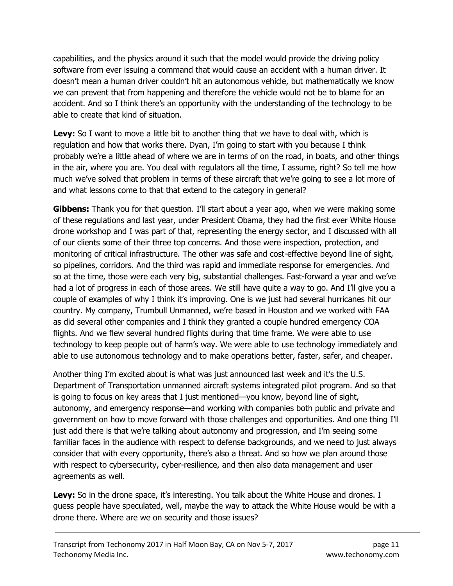capabilities, and the physics around it such that the model would provide the driving policy software from ever issuing a command that would cause an accident with a human driver. It doesn't mean a human driver couldn't hit an autonomous vehicle, but mathematically we know we can prevent that from happening and therefore the vehicle would not be to blame for an accident. And so I think there's an opportunity with the understanding of the technology to be able to create that kind of situation.

Levy: So I want to move a little bit to another thing that we have to deal with, which is regulation and how that works there. Dyan, I'm going to start with you because I think probably we're a little ahead of where we are in terms of on the road, in boats, and other things in the air, where you are. You deal with regulators all the time, I assume, right? So tell me how much we've solved that problem in terms of these aircraft that we're going to see a lot more of and what lessons come to that that extend to the category in general?

**Gibbens:** Thank you for that question. I'll start about a year ago, when we were making some of these regulations and last year, under President Obama, they had the first ever White House drone workshop and I was part of that, representing the energy sector, and I discussed with all of our clients some of their three top concerns. And those were inspection, protection, and monitoring of critical infrastructure. The other was safe and cost-effective beyond line of sight, so pipelines, corridors. And the third was rapid and immediate response for emergencies. And so at the time, those were each very big, substantial challenges. Fast-forward a year and we've had a lot of progress in each of those areas. We still have quite a way to go. And I'll give you a couple of examples of why I think it's improving. One is we just had several hurricanes hit our country. My company, Trumbull Unmanned, we're based in Houston and we worked with FAA as did several other companies and I think they granted a couple hundred emergency COA flights. And we flew several hundred flights during that time frame. We were able to use technology to keep people out of harm's way. We were able to use technology immediately and able to use autonomous technology and to make operations better, faster, safer, and cheaper.

Another thing I'm excited about is what was just announced last week and it's the U.S. Department of Transportation unmanned aircraft systems integrated pilot program. And so that is going to focus on key areas that I just mentioned—you know, beyond line of sight, autonomy, and emergency response—and working with companies both public and private and government on how to move forward with those challenges and opportunities. And one thing I'll just add there is that we're talking about autonomy and progression, and I'm seeing some familiar faces in the audience with respect to defense backgrounds, and we need to just always consider that with every opportunity, there's also a threat. And so how we plan around those with respect to cybersecurity, cyber-resilience, and then also data management and user agreements as well.

Levy: So in the drone space, it's interesting. You talk about the White House and drones. I guess people have speculated, well, maybe the way to attack the White House would be with a drone there. Where are we on security and those issues?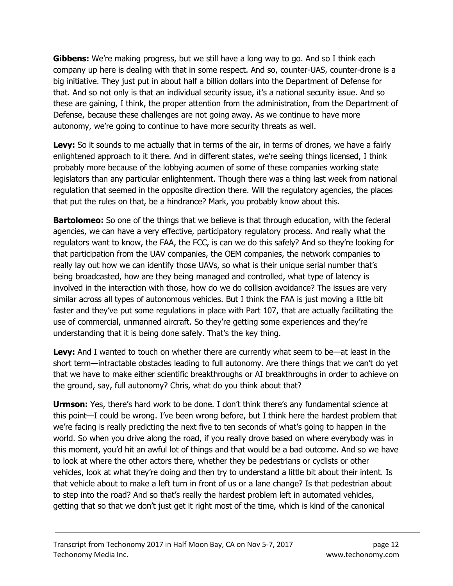**Gibbens:** We're making progress, but we still have a long way to go. And so I think each company up here is dealing with that in some respect. And so, counter-UAS, counter-drone is a big initiative. They just put in about half a billion dollars into the Department of Defense for that. And so not only is that an individual security issue, it's a national security issue. And so these are gaining, I think, the proper attention from the administration, from the Department of Defense, because these challenges are not going away. As we continue to have more autonomy, we're going to continue to have more security threats as well.

Levy: So it sounds to me actually that in terms of the air, in terms of drones, we have a fairly enlightened approach to it there. And in different states, we're seeing things licensed, I think probably more because of the lobbying acumen of some of these companies working state legislators than any particular enlightenment. Though there was a thing last week from national regulation that seemed in the opposite direction there. Will the regulatory agencies, the places that put the rules on that, be a hindrance? Mark, you probably know about this.

**Bartolomeo:** So one of the things that we believe is that through education, with the federal agencies, we can have a very effective, participatory regulatory process. And really what the regulators want to know, the FAA, the FCC, is can we do this safely? And so they're looking for that participation from the UAV companies, the OEM companies, the network companies to really lay out how we can identify those UAVs, so what is their unique serial number that's being broadcasted, how are they being managed and controlled, what type of latency is involved in the interaction with those, how do we do collision avoidance? The issues are very similar across all types of autonomous vehicles. But I think the FAA is just moving a little bit faster and they've put some regulations in place with Part 107, that are actually facilitating the use of commercial, unmanned aircraft. So they're getting some experiences and they're understanding that it is being done safely. That's the key thing.

Levy: And I wanted to touch on whether there are currently what seem to be—at least in the short term—intractable obstacles leading to full autonomy. Are there things that we can't do yet that we have to make either scientific breakthroughs or AI breakthroughs in order to achieve on the ground, say, full autonomy? Chris, what do you think about that?

**Urmson:** Yes, there's hard work to be done. I don't think there's any fundamental science at this point—I could be wrong. I've been wrong before, but I think here the hardest problem that we're facing is really predicting the next five to ten seconds of what's going to happen in the world. So when you drive along the road, if you really drove based on where everybody was in this moment, you'd hit an awful lot of things and that would be a bad outcome. And so we have to look at where the other actors there, whether they be pedestrians or cyclists or other vehicles, look at what they're doing and then try to understand a little bit about their intent. Is that vehicle about to make a left turn in front of us or a lane change? Is that pedestrian about to step into the road? And so that's really the hardest problem left in automated vehicles, getting that so that we don't just get it right most of the time, which is kind of the canonical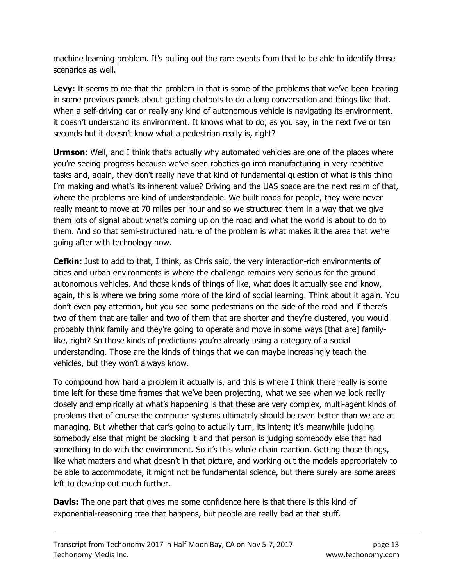machine learning problem. It's pulling out the rare events from that to be able to identify those scenarios as well.

Levy: It seems to me that the problem in that is some of the problems that we've been hearing in some previous panels about getting chatbots to do a long conversation and things like that. When a self-driving car or really any kind of autonomous vehicle is navigating its environment, it doesn't understand its environment. It knows what to do, as you say, in the next five or ten seconds but it doesn't know what a pedestrian really is, right?

**Urmson:** Well, and I think that's actually why automated vehicles are one of the places where you're seeing progress because we've seen robotics go into manufacturing in very repetitive tasks and, again, they don't really have that kind of fundamental question of what is this thing I'm making and what's its inherent value? Driving and the UAS space are the next realm of that, where the problems are kind of understandable. We built roads for people, they were never really meant to move at 70 miles per hour and so we structured them in a way that we give them lots of signal about what's coming up on the road and what the world is about to do to them. And so that semi-structured nature of the problem is what makes it the area that we're going after with technology now.

**Cefkin:** Just to add to that, I think, as Chris said, the very interaction-rich environments of cities and urban environments is where the challenge remains very serious for the ground autonomous vehicles. And those kinds of things of like, what does it actually see and know, again, this is where we bring some more of the kind of social learning. Think about it again. You don't even pay attention, but you see some pedestrians on the side of the road and if there's two of them that are taller and two of them that are shorter and they're clustered, you would probably think family and they're going to operate and move in some ways [that are] familylike, right? So those kinds of predictions you're already using a category of a social understanding. Those are the kinds of things that we can maybe increasingly teach the vehicles, but they won't always know.

To compound how hard a problem it actually is, and this is where I think there really is some time left for these time frames that we've been projecting, what we see when we look really closely and empirically at what's happening is that these are very complex, multi-agent kinds of problems that of course the computer systems ultimately should be even better than we are at managing. But whether that car's going to actually turn, its intent; it's meanwhile judging somebody else that might be blocking it and that person is judging somebody else that had something to do with the environment. So it's this whole chain reaction. Getting those things, like what matters and what doesn't in that picture, and working out the models appropriately to be able to accommodate, it might not be fundamental science, but there surely are some areas left to develop out much further.

**Davis:** The one part that gives me some confidence here is that there is this kind of exponential-reasoning tree that happens, but people are really bad at that stuff.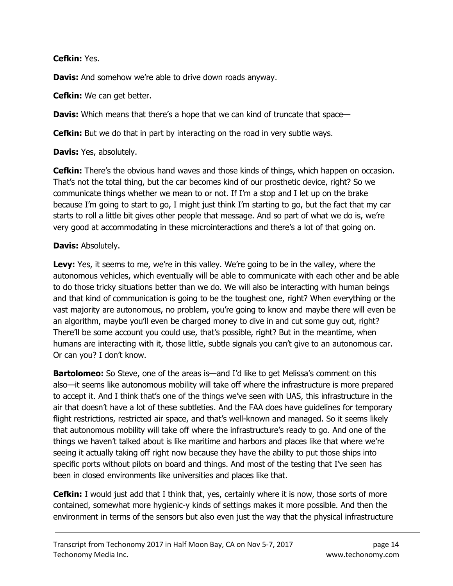Cefkin: Yes.

Davis: And somehow we're able to drive down roads anyway.

**Cefkin:** We can get better.

**Davis:** Which means that there's a hope that we can kind of truncate that space—

**Cefkin:** But we do that in part by interacting on the road in very subtle ways.

**Davis:** Yes, absolutely.

**Cefkin:** There's the obvious hand waves and those kinds of things, which happen on occasion. That's not the total thing, but the car becomes kind of our prosthetic device, right? So we communicate things whether we mean to or not. If I'm a stop and I let up on the brake because I'm going to start to go, I might just think I'm starting to go, but the fact that my car starts to roll a little bit gives other people that message. And so part of what we do is, we're very good at accommodating in these microinteractions and there's a lot of that going on.

### Davis: Absolutely.

Levy: Yes, it seems to me, we're in this valley. We're going to be in the valley, where the autonomous vehicles, which eventually will be able to communicate with each other and be able to do those tricky situations better than we do. We will also be interacting with human beings and that kind of communication is going to be the toughest one, right? When everything or the vast majority are autonomous, no problem, you're going to know and maybe there will even be an algorithm, maybe you'll even be charged money to dive in and cut some guy out, right? There'll be some account you could use, that's possible, right? But in the meantime, when humans are interacting with it, those little, subtle signals you can't give to an autonomous car. Or can you? I don't know.

**Bartolomeo:** So Steve, one of the areas is—and I'd like to get Melissa's comment on this also—it seems like autonomous mobility will take off where the infrastructure is more prepared to accept it. And I think that's one of the things we've seen with UAS, this infrastructure in the air that doesn't have a lot of these subtleties. And the FAA does have guidelines for temporary flight restrictions, restricted air space, and that's well-known and managed. So it seems likely that autonomous mobility will take off where the infrastructure's ready to go. And one of the things we haven't talked about is like maritime and harbors and places like that where we're seeing it actually taking off right now because they have the ability to put those ships into specific ports without pilots on board and things. And most of the testing that I've seen has been in closed environments like universities and places like that.

**Cefkin:** I would just add that I think that, yes, certainly where it is now, those sorts of more contained, somewhat more hygienic-y kinds of settings makes it more possible. And then the environment in terms of the sensors but also even just the way that the physical infrastructure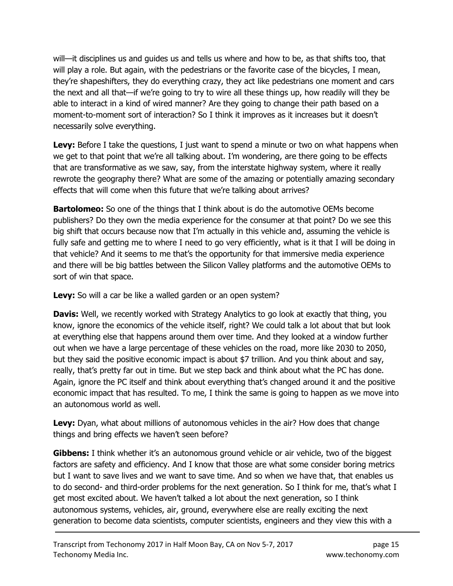will—it disciplines us and guides us and tells us where and how to be, as that shifts too, that will play a role. But again, with the pedestrians or the favorite case of the bicycles, I mean, they're shapeshifters, they do everything crazy, they act like pedestrians one moment and cars the next and all that—if we're going to try to wire all these things up, how readily will they be able to interact in a kind of wired manner? Are they going to change their path based on a moment-to-moment sort of interaction? So I think it improves as it increases but it doesn't necessarily solve everything.

**Levy:** Before I take the questions, I just want to spend a minute or two on what happens when we get to that point that we're all talking about. I'm wondering, are there going to be effects that are transformative as we saw, say, from the interstate highway system, where it really rewrote the geography there? What are some of the amazing or potentially amazing secondary effects that will come when this future that we're talking about arrives?

**Bartolomeo:** So one of the things that I think about is do the automotive OEMs become publishers? Do they own the media experience for the consumer at that point? Do we see this big shift that occurs because now that I'm actually in this vehicle and, assuming the vehicle is fully safe and getting me to where I need to go very efficiently, what is it that I will be doing in that vehicle? And it seems to me that's the opportunity for that immersive media experience and there will be big battles between the Silicon Valley platforms and the automotive OEMs to sort of win that space.

**Levy:** So will a car be like a walled garden or an open system?

**Davis:** Well, we recently worked with Strategy Analytics to go look at exactly that thing, you know, ignore the economics of the vehicle itself, right? We could talk a lot about that but look at everything else that happens around them over time. And they looked at a window further out when we have a large percentage of these vehicles on the road, more like 2030 to 2050, but they said the positive economic impact is about \$7 trillion. And you think about and say, really, that's pretty far out in time. But we step back and think about what the PC has done. Again, ignore the PC itself and think about everything that's changed around it and the positive economic impact that has resulted. To me, I think the same is going to happen as we move into an autonomous world as well.

Levy: Dyan, what about millions of autonomous vehicles in the air? How does that change things and bring effects we haven't seen before?

**Gibbens:** I think whether it's an autonomous ground vehicle or air vehicle, two of the biggest factors are safety and efficiency. And I know that those are what some consider boring metrics but I want to save lives and we want to save time. And so when we have that, that enables us to do second- and third-order problems for the next generation. So I think for me, that's what I get most excited about. We haven't talked a lot about the next generation, so I think autonomous systems, vehicles, air, ground, everywhere else are really exciting the next generation to become data scientists, computer scientists, engineers and they view this with a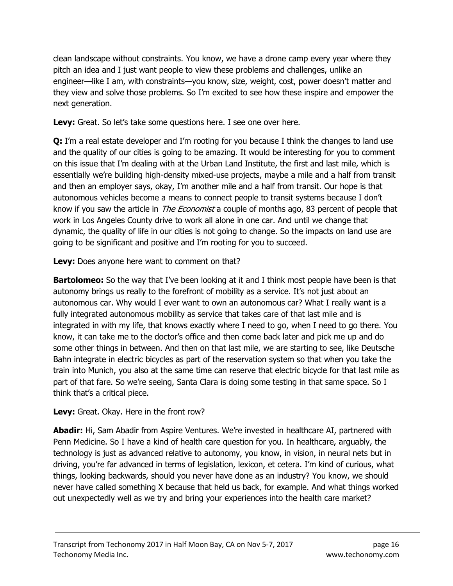clean landscape without constraints. You know, we have a drone camp every year where they pitch an idea and I just want people to view these problems and challenges, unlike an engineer—like I am, with constraints—you know, size, weight, cost, power doesn't matter and they view and solve those problems. So I'm excited to see how these inspire and empower the next generation.

Levy: Great. So let's take some questions here. I see one over here.

**Q:** I'm a real estate developer and I'm rooting for you because I think the changes to land use and the quality of our cities is going to be amazing. It would be interesting for you to comment on this issue that I'm dealing with at the Urban Land Institute, the first and last mile, which is essentially we're building high-density mixed-use projects, maybe a mile and a half from transit and then an employer says, okay, I'm another mile and a half from transit. Our hope is that autonomous vehicles become a means to connect people to transit systems because I don't know if you saw the article in *The Economist* a couple of months ago, 83 percent of people that work in Los Angeles County drive to work all alone in one car. And until we change that dynamic, the quality of life in our cities is not going to change. So the impacts on land use are going to be significant and positive and I'm rooting for you to succeed.

Levy: Does anyone here want to comment on that?

**Bartolomeo:** So the way that I've been looking at it and I think most people have been is that autonomy brings us really to the forefront of mobility as a service. It's not just about an autonomous car. Why would I ever want to own an autonomous car? What I really want is a fully integrated autonomous mobility as service that takes care of that last mile and is integrated in with my life, that knows exactly where I need to go, when I need to go there. You know, it can take me to the doctor's office and then come back later and pick me up and do some other things in between. And then on that last mile, we are starting to see, like Deutsche Bahn integrate in electric bicycles as part of the reservation system so that when you take the train into Munich, you also at the same time can reserve that electric bicycle for that last mile as part of that fare. So we're seeing, Santa Clara is doing some testing in that same space. So I think that's a critical piece.

Levy: Great. Okay. Here in the front row?

**Abadir:** Hi, Sam Abadir from Aspire Ventures. We're invested in healthcare AI, partnered with Penn Medicine. So I have a kind of health care question for you. In healthcare, arguably, the technology is just as advanced relative to autonomy, you know, in vision, in neural nets but in driving, you're far advanced in terms of legislation, lexicon, et cetera. I'm kind of curious, what things, looking backwards, should you never have done as an industry? You know, we should never have called something X because that held us back, for example. And what things worked out unexpectedly well as we try and bring your experiences into the health care market?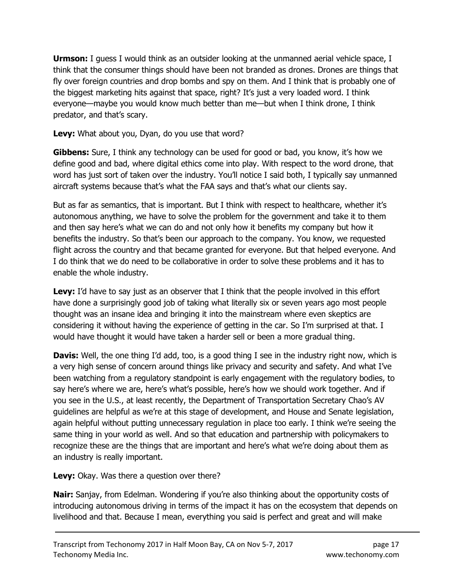**Urmson:** I guess I would think as an outsider looking at the unmanned aerial vehicle space, I think that the consumer things should have been not branded as drones. Drones are things that fly over foreign countries and drop bombs and spy on them. And I think that is probably one of the biggest marketing hits against that space, right? It's just a very loaded word. I think everyone—maybe you would know much better than me—but when I think drone, I think predator, and that's scary.

Levy: What about you, Dyan, do you use that word?

**Gibbens:** Sure, I think any technology can be used for good or bad, you know, it's how we define good and bad, where digital ethics come into play. With respect to the word drone, that word has just sort of taken over the industry. You'll notice I said both, I typically say unmanned aircraft systems because that's what the FAA says and that's what our clients say.

But as far as semantics, that is important. But I think with respect to healthcare, whether it's autonomous anything, we have to solve the problem for the government and take it to them and then say here's what we can do and not only how it benefits my company but how it benefits the industry. So that's been our approach to the company. You know, we requested flight across the country and that became granted for everyone. But that helped everyone. And I do think that we do need to be collaborative in order to solve these problems and it has to enable the whole industry.

**Levy:** I'd have to say just as an observer that I think that the people involved in this effort have done a surprisingly good job of taking what literally six or seven years ago most people thought was an insane idea and bringing it into the mainstream where even skeptics are considering it without having the experience of getting in the car. So I'm surprised at that. I would have thought it would have taken a harder sell or been a more gradual thing.

**Davis:** Well, the one thing I'd add, too, is a good thing I see in the industry right now, which is a very high sense of concern around things like privacy and security and safety. And what I've been watching from a regulatory standpoint is early engagement with the regulatory bodies, to say here's where we are, here's what's possible, here's how we should work together. And if you see in the U.S., at least recently, the Department of Transportation Secretary Chao's AV guidelines are helpful as we're at this stage of development, and House and Senate legislation, again helpful without putting unnecessary regulation in place too early. I think we're seeing the same thing in your world as well. And so that education and partnership with policymakers to recognize these are the things that are important and here's what we're doing about them as an industry is really important.

Levy: Okay. Was there a question over there?

**Nair:** Sanjay, from Edelman. Wondering if you're also thinking about the opportunity costs of introducing autonomous driving in terms of the impact it has on the ecosystem that depends on livelihood and that. Because I mean, everything you said is perfect and great and will make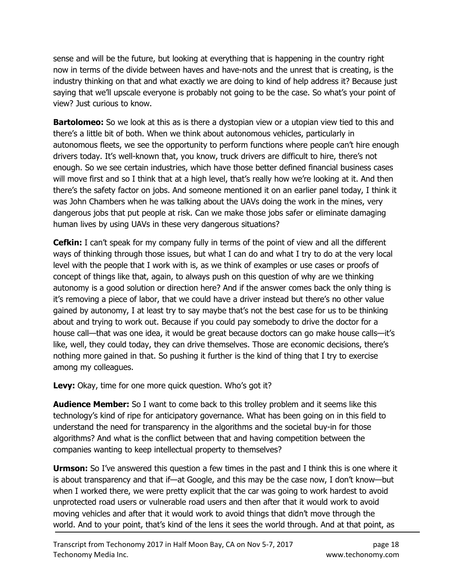sense and will be the future, but looking at everything that is happening in the country right now in terms of the divide between haves and have-nots and the unrest that is creating, is the industry thinking on that and what exactly we are doing to kind of help address it? Because just saying that we'll upscale everyone is probably not going to be the case. So what's your point of view? Just curious to know.

**Bartolomeo:** So we look at this as is there a dystopian view or a utopian view tied to this and there's a little bit of both. When we think about autonomous vehicles, particularly in autonomous fleets, we see the opportunity to perform functions where people can't hire enough drivers today. It's well-known that, you know, truck drivers are difficult to hire, there's not enough. So we see certain industries, which have those better defined financial business cases will move first and so I think that at a high level, that's really how we're looking at it. And then there's the safety factor on jobs. And someone mentioned it on an earlier panel today, I think it was John Chambers when he was talking about the UAVs doing the work in the mines, very dangerous jobs that put people at risk. Can we make those jobs safer or eliminate damaging human lives by using UAVs in these very dangerous situations?

**Cefkin:** I can't speak for my company fully in terms of the point of view and all the different ways of thinking through those issues, but what I can do and what I try to do at the very local level with the people that I work with is, as we think of examples or use cases or proofs of concept of things like that, again, to always push on this question of why are we thinking autonomy is a good solution or direction here? And if the answer comes back the only thing is it's removing a piece of labor, that we could have a driver instead but there's no other value gained by autonomy, I at least try to say maybe that's not the best case for us to be thinking about and trying to work out. Because if you could pay somebody to drive the doctor for a house call—that was one idea, it would be great because doctors can go make house calls—it's like, well, they could today, they can drive themselves. Those are economic decisions, there's nothing more gained in that. So pushing it further is the kind of thing that I try to exercise among my colleagues.

Levy: Okay, time for one more quick question. Who's got it?

**Audience Member:** So I want to come back to this trolley problem and it seems like this technology's kind of ripe for anticipatory governance. What has been going on in this field to understand the need for transparency in the algorithms and the societal buy-in for those algorithms? And what is the conflict between that and having competition between the companies wanting to keep intellectual property to themselves?

**Urmson:** So I've answered this question a few times in the past and I think this is one where it is about transparency and that if—at Google, and this may be the case now, I don't know—but when I worked there, we were pretty explicit that the car was going to work hardest to avoid unprotected road users or vulnerable road users and then after that it would work to avoid moving vehicles and after that it would work to avoid things that didn't move through the world. And to your point, that's kind of the lens it sees the world through. And at that point, as